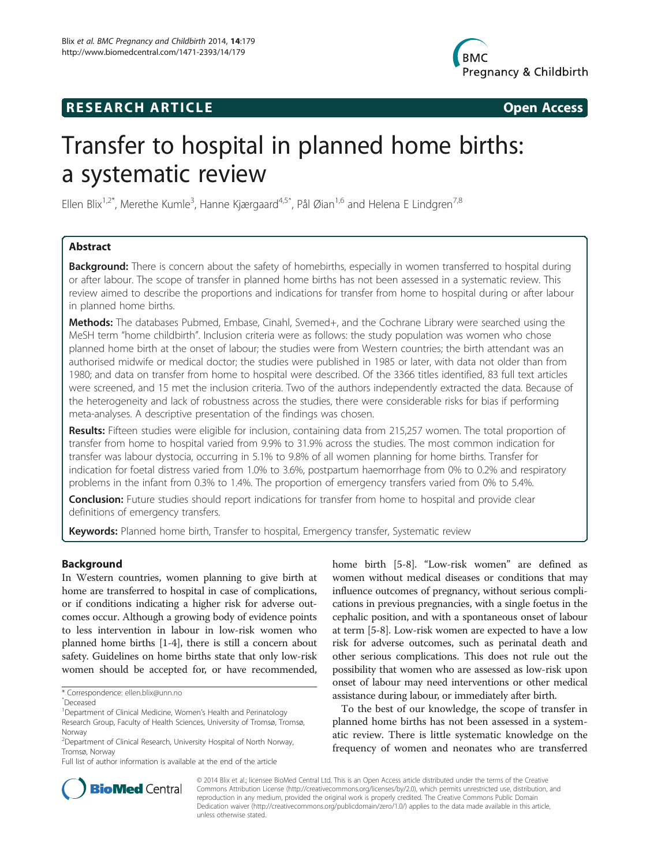# **RESEARCH ARTICLE Example 2014 CONSIDERING CONSIDERING CONSIDERING CONSIDERING CONSIDERING CONSIDERING CONSIDERING CONSIDERING CONSIDERING CONSIDERING CONSIDERING CONSIDERING CONSIDERING CONSIDERING CONSIDERING CONSIDE**



# Transfer to hospital in planned home births: a systematic review

Ellen Blix<sup>1,2\*</sup>, Merethe Kumle<sup>3</sup>, Hanne Kjærgaard<sup>4,5</sup>^, Pål Øian<sup>1,6</sup> and Helena E Lindgren<sup>7,8</sup>

# Abstract

**Background:** There is concern about the safety of homebirths, especially in women transferred to hospital during or after labour. The scope of transfer in planned home births has not been assessed in a systematic review. This review aimed to describe the proportions and indications for transfer from home to hospital during or after labour in planned home births.

Methods: The databases Pubmed, Embase, Cinahl, Svemed+, and the Cochrane Library were searched using the MeSH term "home childbirth". Inclusion criteria were as follows: the study population was women who chose planned home birth at the onset of labour; the studies were from Western countries; the birth attendant was an authorised midwife or medical doctor; the studies were published in 1985 or later, with data not older than from 1980; and data on transfer from home to hospital were described. Of the 3366 titles identified, 83 full text articles were screened, and 15 met the inclusion criteria. Two of the authors independently extracted the data. Because of the heterogeneity and lack of robustness across the studies, there were considerable risks for bias if performing meta-analyses. A descriptive presentation of the findings was chosen.

Results: Fifteen studies were eligible for inclusion, containing data from 215,257 women. The total proportion of transfer from home to hospital varied from 9.9% to 31.9% across the studies. The most common indication for transfer was labour dystocia, occurring in 5.1% to 9.8% of all women planning for home births. Transfer for indication for foetal distress varied from 1.0% to 3.6%, postpartum haemorrhage from 0% to 0.2% and respiratory problems in the infant from 0.3% to 1.4%. The proportion of emergency transfers varied from 0% to 5.4%.

**Conclusion:** Future studies should report indications for transfer from home to hospital and provide clear definitions of emergency transfers.

Keywords: Planned home birth, Transfer to hospital, Emergency transfer, Systematic review

# Background

In Western countries, women planning to give birth at home are transferred to hospital in case of complications, or if conditions indicating a higher risk for adverse outcomes occur. Although a growing body of evidence points to less intervention in labour in low-risk women who planned home births [\[1-4](#page-9-0)], there is still a concern about safety. Guidelines on home births state that only low-risk women should be accepted for, or have recommended,

home birth [[5-8](#page-9-0)]. "Low-risk women" are defined as women without medical diseases or conditions that may influence outcomes of pregnancy, without serious complications in previous pregnancies, with a single foetus in the cephalic position, and with a spontaneous onset of labour at term [\[5-8](#page-9-0)]. Low-risk women are expected to have a low risk for adverse outcomes, such as perinatal death and other serious complications. This does not rule out the possibility that women who are assessed as low-risk upon onset of labour may need interventions or other medical assistance during labour, or immediately after birth.

To the best of our knowledge, the scope of transfer in planned home births has not been assessed in a systematic review. There is little systematic knowledge on the frequency of women and neonates who are transferred



© 2014 Blix et al.; licensee BioMed Central Ltd. This is an Open Access article distributed under the terms of the Creative Commons Attribution License [\(http://creativecommons.org/licenses/by/2.0\)](http://creativecommons.org/licenses/by/2.0), which permits unrestricted use, distribution, and reproduction in any medium, provided the original work is properly credited. The Creative Commons Public Domain Dedication waiver [\(http://creativecommons.org/publicdomain/zero/1.0/](http://creativecommons.org/publicdomain/zero/1.0/)) applies to the data made available in this article, unless otherwise stated.

<sup>\*</sup> Correspondence: [ellen.blix@unn.no](mailto:ellen.blix@unn.no)

ˆDeceased

<sup>&</sup>lt;sup>1</sup>Department of Clinical Medicine, Women's Health and Perinatology

Research Group, Faculty of Health Sciences, University of Tromsø, Tromsø, Norway

<sup>&</sup>lt;sup>2</sup> Department of Clinical Research, University Hospital of North Norway, Tromsø, Norway

Full list of author information is available at the end of the article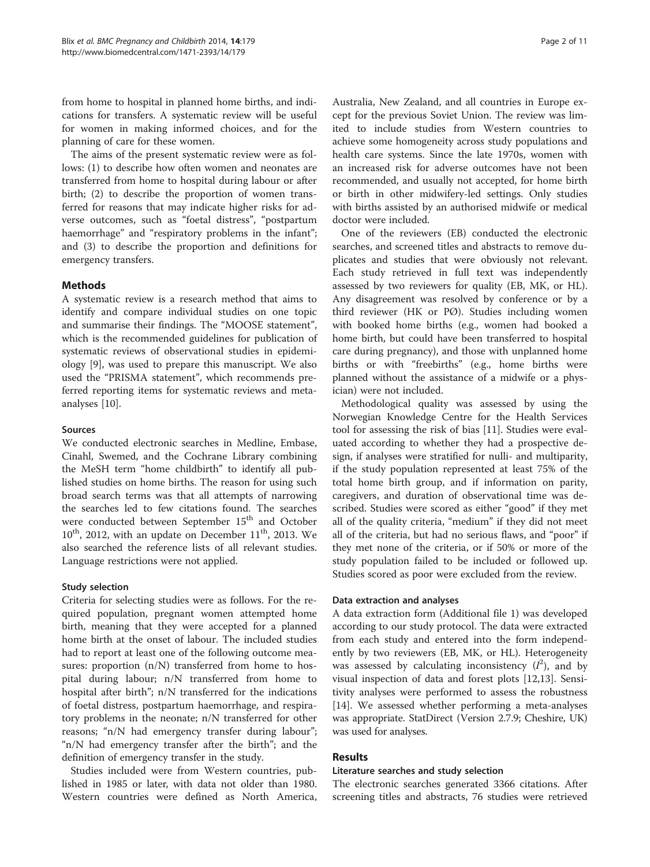from home to hospital in planned home births, and indications for transfers. A systematic review will be useful for women in making informed choices, and for the planning of care for these women.

The aims of the present systematic review were as follows: (1) to describe how often women and neonates are transferred from home to hospital during labour or after birth; (2) to describe the proportion of women transferred for reasons that may indicate higher risks for adverse outcomes, such as "foetal distress", "postpartum haemorrhage" and "respiratory problems in the infant"; and (3) to describe the proportion and definitions for emergency transfers.

# Methods

A systematic review is a research method that aims to identify and compare individual studies on one topic and summarise their findings. The "MOOSE statement", which is the recommended guidelines for publication of systematic reviews of observational studies in epidemiology [\[9](#page-9-0)], was used to prepare this manuscript. We also used the "PRISMA statement", which recommends preferred reporting items for systematic reviews and metaanalyses [[10\]](#page-9-0).

#### Sources

We conducted electronic searches in Medline, Embase, Cinahl, Swemed, and the Cochrane Library combining the MeSH term "home childbirth" to identify all published studies on home births. The reason for using such broad search terms was that all attempts of narrowing the searches led to few citations found. The searches were conducted between September 15<sup>th</sup> and October  $10^{th}$ , 2012, with an update on December  $11^{th}$ , 2013. We also searched the reference lists of all relevant studies. Language restrictions were not applied.

# Study selection

Criteria for selecting studies were as follows. For the required population, pregnant women attempted home birth, meaning that they were accepted for a planned home birth at the onset of labour. The included studies had to report at least one of the following outcome measures: proportion (n/N) transferred from home to hospital during labour; n/N transferred from home to hospital after birth"; n/N transferred for the indications of foetal distress, postpartum haemorrhage, and respiratory problems in the neonate; n/N transferred for other reasons; "n/N had emergency transfer during labour"; "n/N had emergency transfer after the birth"; and the definition of emergency transfer in the study.

Studies included were from Western countries, published in 1985 or later, with data not older than 1980. Western countries were defined as North America,

Australia, New Zealand, and all countries in Europe except for the previous Soviet Union. The review was limited to include studies from Western countries to achieve some homogeneity across study populations and health care systems. Since the late 1970s, women with an increased risk for adverse outcomes have not been recommended, and usually not accepted, for home birth or birth in other midwifery-led settings. Only studies with births assisted by an authorised midwife or medical doctor were included.

One of the reviewers (EB) conducted the electronic searches, and screened titles and abstracts to remove duplicates and studies that were obviously not relevant. Each study retrieved in full text was independently assessed by two reviewers for quality (EB, MK, or HL). Any disagreement was resolved by conference or by a third reviewer (HK or PØ). Studies including women with booked home births (e.g., women had booked a home birth, but could have been transferred to hospital care during pregnancy), and those with unplanned home births or with "freebirths" (e.g., home births were planned without the assistance of a midwife or a physician) were not included.

Methodological quality was assessed by using the Norwegian Knowledge Centre for the Health Services tool for assessing the risk of bias [[11\]](#page-9-0). Studies were evaluated according to whether they had a prospective design, if analyses were stratified for nulli- and multiparity, if the study population represented at least 75% of the total home birth group, and if information on parity, caregivers, and duration of observational time was described. Studies were scored as either "good" if they met all of the quality criteria, "medium" if they did not meet all of the criteria, but had no serious flaws, and "poor" if they met none of the criteria, or if 50% or more of the study population failed to be included or followed up. Studies scored as poor were excluded from the review.

#### Data extraction and analyses

A data extraction form (Additional file [1\)](#page-9-0) was developed according to our study protocol. The data were extracted from each study and entered into the form independently by two reviewers (EB, MK, or HL). Heterogeneity was assessed by calculating inconsistency  $(I^2)$ , and by visual inspection of data and forest plots [[12,13\]](#page-9-0). Sensitivity analyses were performed to assess the robustness [[14\]](#page-9-0). We assessed whether performing a meta-analyses was appropriate. StatDirect (Version 2.7.9; Cheshire, UK) was used for analyses.

# Results

#### Literature searches and study selection

The electronic searches generated 3366 citations. After screening titles and abstracts, 76 studies were retrieved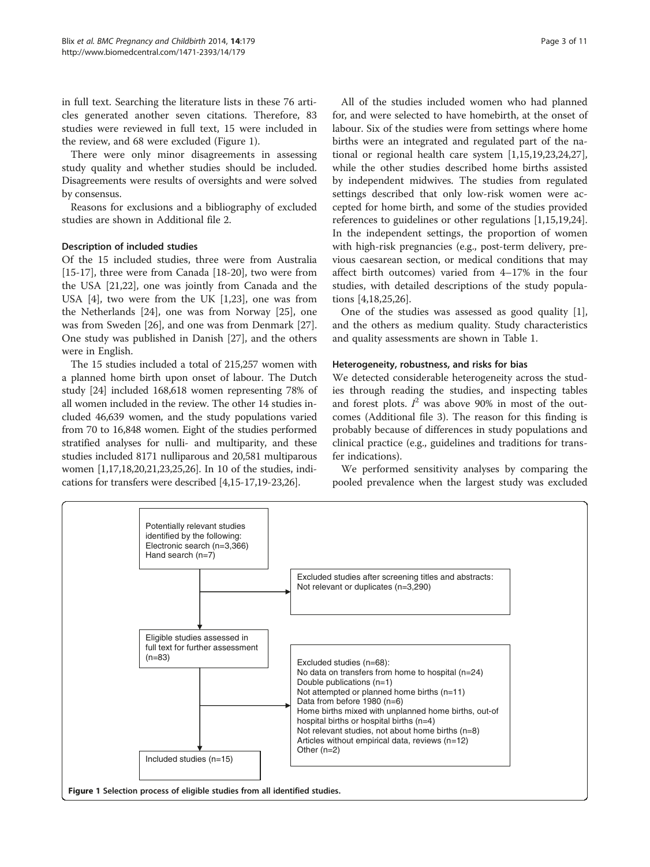in full text. Searching the literature lists in these 76 articles generated another seven citations. Therefore, 83 studies were reviewed in full text, 15 were included in the review, and 68 were excluded (Figure 1).

There were only minor disagreements in assessing study quality and whether studies should be included. Disagreements were results of oversights and were solved by consensus.

Reasons for exclusions and a bibliography of excluded studies are shown in Additional file [2.](#page-9-0)

#### Description of included studies

Of the 15 included studies, three were from Australia [[15-17](#page-9-0)], three were from Canada [\[18-20](#page-9-0)], two were from the USA [\[21,22\]](#page-9-0), one was jointly from Canada and the USA [[4](#page-9-0)], two were from the UK [[1,23\]](#page-9-0), one was from the Netherlands [[24\]](#page-9-0), one was from Norway [[25\]](#page-9-0), one was from Sweden [\[26](#page-10-0)], and one was from Denmark [\[27](#page-10-0)]. One study was published in Danish [[27](#page-10-0)], and the others were in English.

The 15 studies included a total of 215,257 women with a planned home birth upon onset of labour. The Dutch study [\[24\]](#page-9-0) included 168,618 women representing 78% of all women included in the review. The other 14 studies included 46,639 women, and the study populations varied from 70 to 16,848 women. Eight of the studies performed stratified analyses for nulli- and multiparity, and these studies included 8171 nulliparous and 20,581 multiparous women [\[1,17,18,20,21,23,25](#page-9-0)[,26](#page-10-0)]. In 10 of the studies, indications for transfers were described [[4,15](#page-9-0)-[17,19](#page-9-0)-[23](#page-9-0)[,26](#page-10-0)].

All of the studies included women who had planned for, and were selected to have homebirth, at the onset of labour. Six of the studies were from settings where home births were an integrated and regulated part of the national or regional health care system [[1](#page-9-0),[15](#page-9-0),[19](#page-9-0),[23,24](#page-9-0)[,27](#page-10-0)], while the other studies described home births assisted by independent midwives. The studies from regulated settings described that only low-risk women were accepted for home birth, and some of the studies provided references to guidelines or other regulations [\[1](#page-9-0),[15,19,24](#page-9-0)]. In the independent settings, the proportion of women with high-risk pregnancies (e.g., post-term delivery, previous caesarean section, or medical conditions that may affect birth outcomes) varied from 4–17% in the four studies, with detailed descriptions of the study populations [[4,18,25,](#page-9-0)[26\]](#page-10-0).

One of the studies was assessed as good quality [\[1](#page-9-0)], and the others as medium quality. Study characteristics and quality assessments are shown in Table [1.](#page-3-0)

#### Heterogeneity, robustness, and risks for bias

We detected considerable heterogeneity across the studies through reading the studies, and inspecting tables and forest plots.  $I^2$  was above 90% in most of the outcomes (Additional file [3\)](#page-9-0). The reason for this finding is probably because of differences in study populations and clinical practice (e.g., guidelines and traditions for transfer indications).

We performed sensitivity analyses by comparing the pooled prevalence when the largest study was excluded

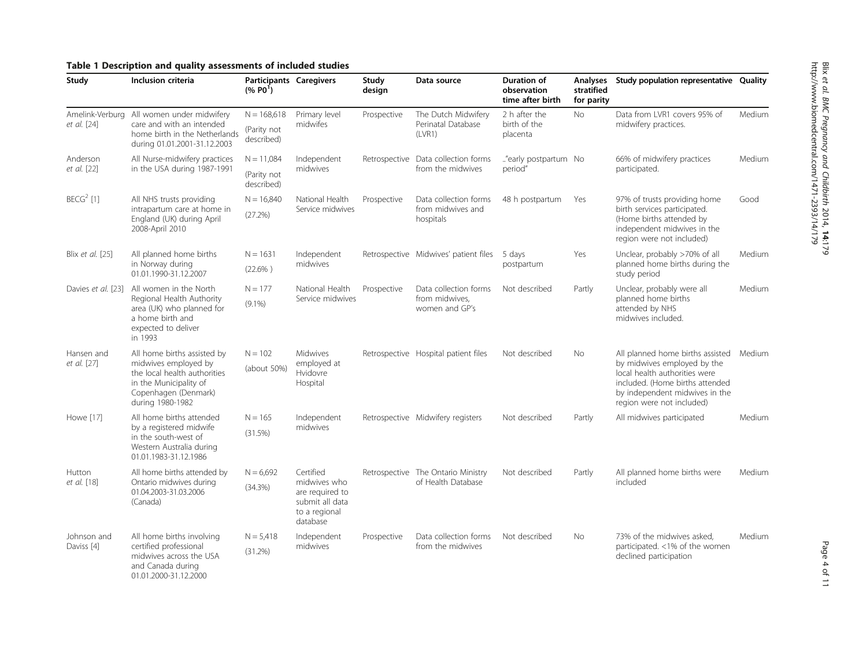# <span id="page-3-0"></span>Table 1 Description and quality assessments of included studies

| Study                                                                                                                                     | Inclusion criteria                                                                                   | <b>Participants Caregivers</b><br>(% PO <sup>1</sup> ) |                                                                                 | Study<br>design | Data source                                                        | <b>Duration of</b><br>observation<br>time after birth | Analyses<br>stratified<br>for parity                                                                                                                           | Study population representative Quality                                                                              |               |
|-------------------------------------------------------------------------------------------------------------------------------------------|------------------------------------------------------------------------------------------------------|--------------------------------------------------------|---------------------------------------------------------------------------------|-----------------|--------------------------------------------------------------------|-------------------------------------------------------|----------------------------------------------------------------------------------------------------------------------------------------------------------------|----------------------------------------------------------------------------------------------------------------------|---------------|
|                                                                                                                                           | Amelink-Verburg All women under midwifery                                                            | $N = 168,618$                                          | Primary level                                                                   | Prospective     | The Dutch Midwifery<br>Perinatal Database                          | 2 h after the                                         | <b>No</b>                                                                                                                                                      | Data from LVR1 covers 95% of                                                                                         | Medium        |
| care and with an intended<br>et al. [24]<br>home birth in the Netherlands<br>during 01.01.2001-31.12.2003                                 | (Parity not<br>described)                                                                            | midwifes                                               | (LVR1)                                                                          |                 | birth of the<br>placenta                                           |                                                       | midwifery practices.                                                                                                                                           |                                                                                                                      |               |
| Anderson                                                                                                                                  | All Nurse-midwifery practices                                                                        | $N = 11,084$                                           | Independent                                                                     |                 | Retrospective Data collection forms                                | "early postpartum No                                  |                                                                                                                                                                | 66% of midwifery practices                                                                                           | Medium        |
| et al. [22]                                                                                                                               | in the USA during 1987-1991                                                                          | (Parity not<br>described)                              | midwives                                                                        |                 | from the midwives                                                  | period"                                               |                                                                                                                                                                | participated.                                                                                                        |               |
| $BECG2$ [1]                                                                                                                               | All NHS trusts providing                                                                             | $N = 16,840$                                           | National Health                                                                 | Prospective     | Data collection forms                                              | 48 h postpartum                                       | Yes                                                                                                                                                            | 97% of trusts providing home                                                                                         | Good          |
|                                                                                                                                           | intrapartum care at home in<br>England (UK) during April<br>2008-April 2010                          | (27.2%)                                                | Service midwives                                                                |                 | from midwives and<br>hospitals                                     |                                                       |                                                                                                                                                                | birth services participated.<br>(Home births attended by<br>independent midwives in the<br>region were not included) |               |
| Blix et al. [25]                                                                                                                          | All planned home births<br>in Norway during                                                          | $N = 1631$<br>$(22.6\%)$                               | Independent<br>midwives                                                         |                 | Retrospective Midwives' patient files                              | 5 days<br>postpartum                                  | Yes                                                                                                                                                            | Unclear, probably >70% of all<br>planned home births during the                                                      | Medium        |
|                                                                                                                                           | 01.01.1990-31.12.2007                                                                                |                                                        |                                                                                 |                 |                                                                    |                                                       |                                                                                                                                                                | study period                                                                                                         |               |
| Davies et al. [23]                                                                                                                        | All women in the North<br>Regional Health Authority                                                  | $N = 177$                                              | National Health<br>Service midwives                                             | Prospective     | Data collection forms<br>Not described<br>Partly<br>from midwives, | Unclear, probably were all<br>planned home births     | Medium                                                                                                                                                         |                                                                                                                      |               |
|                                                                                                                                           | $(9.1\%)$<br>area (UK) who planned for<br>a home birth and<br>expected to deliver<br>in 1993         |                                                        |                                                                                 |                 | women and GP's                                                     |                                                       |                                                                                                                                                                | attended by NHS<br>midwives included.                                                                                |               |
| Hansen and                                                                                                                                | All home births assisted by                                                                          | $N = 102$                                              | Midwives                                                                        |                 | Retrospective Hospital patient files                               | Not described                                         | No                                                                                                                                                             | All planned home births assisted                                                                                     | Medium        |
| et al. [27]<br>midwives employed by<br>the local health authorities<br>in the Municipality of<br>Copenhagen (Denmark)<br>during 1980-1982 | (about 50%)                                                                                          | employed at<br>Hvidovre<br>Hospital                    |                                                                                 |                 |                                                                    |                                                       | by midwives employed by the<br>local health authorities were<br>included. (Home births attended<br>by independent midwives in the<br>region were not included) |                                                                                                                      |               |
| Howe [17]                                                                                                                                 | All home births attended                                                                             | $N = 165$                                              | Independent                                                                     |                 | Retrospective Midwifery registers                                  | Not described                                         | Partly                                                                                                                                                         | All midwives participated                                                                                            | <b>Medium</b> |
|                                                                                                                                           | by a registered midwife<br>in the south-west of<br>Western Australia during<br>01.01.1983-31.12.1986 | (31.5%)                                                | midwives                                                                        |                 |                                                                    |                                                       |                                                                                                                                                                |                                                                                                                      |               |
| Hutton                                                                                                                                    | All home births attended by                                                                          | $N = 6,692$                                            | Certified                                                                       |                 | Retrospective The Ontario Ministry                                 | Not described                                         | Partly                                                                                                                                                         | All planned home births were                                                                                         | Medium        |
| et al. [18]                                                                                                                               | Ontario midwives during<br>01.04.2003-31.03.2006<br>(Canada)                                         | (34.3%)                                                | midwives who<br>are required to<br>submit all data<br>to a regional<br>database |                 | of Health Database                                                 |                                                       |                                                                                                                                                                | included                                                                                                             |               |
| Johnson and                                                                                                                               | All home births involving                                                                            | $N = 5,418$                                            | Independent                                                                     | Prospective     | Data collection forms                                              | Not described                                         | No                                                                                                                                                             | 73% of the midwives asked.                                                                                           | Medium        |
| Daviss [4]                                                                                                                                | certified professional<br>midwives across the USA<br>and Canada during<br>01.01.2000-31.12.2000      | (31.2%)                                                | midwives                                                                        |                 | from the midwives                                                  |                                                       |                                                                                                                                                                | participated. <1% of the women<br>declined participation                                                             |               |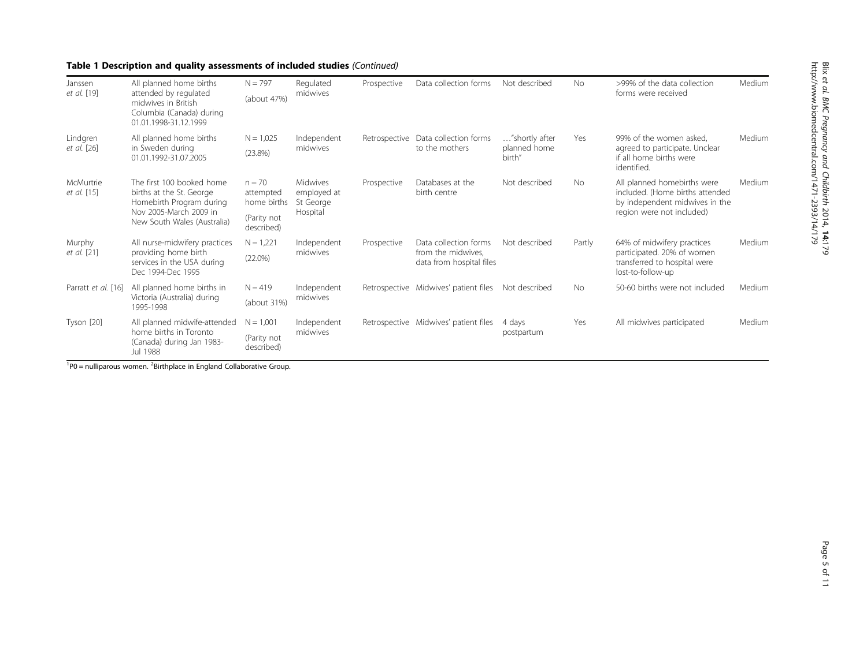# Table 1 Description and quality assessments of included studies (Continued)

| Janssen                  | All planned home births                                                                                                                    | $N = 797$                                                         | Regulated                                        | Prospective | Data collection forms                                                   | Not described                            | <b>No</b> | >99% of the data collection                                                                                                   | Medium |
|--------------------------|--------------------------------------------------------------------------------------------------------------------------------------------|-------------------------------------------------------------------|--------------------------------------------------|-------------|-------------------------------------------------------------------------|------------------------------------------|-----------|-------------------------------------------------------------------------------------------------------------------------------|--------|
| et al. [19]              | attended by regulated<br>midwives in British<br>Columbia (Canada) during<br>01.01.1998-31.12.1999                                          | (about 47%)                                                       | midwives                                         |             |                                                                         |                                          |           | forms were received                                                                                                           |        |
| Lindgren<br>et al. [26]  | All planned home births<br>in Sweden during<br>01.01.1992-31.07.2005                                                                       | $N = 1,025$<br>(23.8%)                                            | Independent<br>midwives                          |             | Retrospective Data collection forms<br>to the mothers                   | "shortly after<br>planned home<br>birth" | Yes       | 99% of the women asked.<br>agreed to participate. Unclear<br>if all home births were<br>identified.                           | Medium |
| McMurtrie<br>et al. [15] | The first 100 booked home<br>births at the St. George<br>Homebirth Program during<br>Nov 2005-March 2009 in<br>New South Wales (Australia) | $n = 70$<br>attempted<br>home births<br>(Parity not<br>described) | Midwives<br>employed at<br>St George<br>Hospital | Prospective | Databases at the<br>birth centre                                        | Not described                            | No        | All planned homebirths were<br>included. (Home births attended<br>by independent midwives in the<br>region were not included) | Medium |
| Murphy<br>et al. [21]    | All nurse-midwifery practices<br>providing home birth<br>services in the USA during<br>Dec 1994-Dec 1995                                   | $N = 1,221$<br>$(22.0\%)$                                         | Independent<br>midwives                          | Prospective | Data collection forms<br>from the midwives.<br>data from hospital files | Not described                            | Partly    | 64% of midwifery practices<br>participated. 20% of women<br>transferred to hospital were<br>lost-to-follow-up                 | Medium |
| Parratt et al. [16]      | All planned home births in<br>Victoria (Australia) during<br>1995-1998                                                                     | $N = 419$<br>(about 31%)                                          | Independent<br>midwives                          |             | Retrospective Midwives' patient files                                   | Not described                            | <b>No</b> | 50-60 births were not included                                                                                                | Medium |
| Tyson [20]               | All planned midwife-attended<br>home births in Toronto<br>(Canada) during Jan 1983-<br>Jul 1988                                            | $N = 1,001$<br>(Parity not<br>described)                          | Independent<br>midwives                          |             | Retrospective Midwives' patient files                                   | 4 days<br>postpartum                     | Yes       | All midwives participated                                                                                                     | Medium |

 $1^{1}$ P0 = nulliparous women.  $2^{2}$ Birthplace in England Collaborative Group.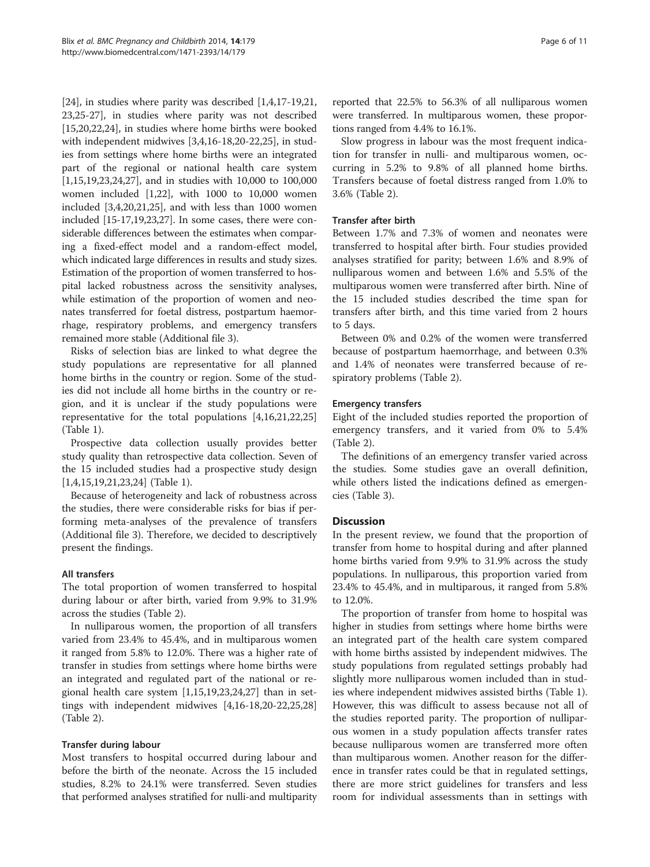[[24\]](#page-9-0), in studies where parity was described [\[1,4,17](#page-9-0)-[19](#page-9-0),[21](#page-9-0), [23,25](#page-9-0)[-27\]](#page-10-0), in studies where parity was not described [[15,20,22,24\]](#page-9-0), in studies where home births were booked with independent midwives [[3](#page-9-0),[4,16-18,20-22,25](#page-9-0)], in studies from settings where home births were an integrated part of the regional or national health care system [[1,15,19,23,24,](#page-9-0)[27\]](#page-10-0), and in studies with 10,000 to 100,000 women included [[1,22](#page-9-0)], with 1000 to 10,000 women included [[3,4,20,21,25\]](#page-9-0), and with less than 1000 women included [\[15](#page-9-0)-[17,19,23,](#page-9-0)[27](#page-10-0)]. In some cases, there were considerable differences between the estimates when comparing a fixed-effect model and a random-effect model, which indicated large differences in results and study sizes. Estimation of the proportion of women transferred to hospital lacked robustness across the sensitivity analyses, while estimation of the proportion of women and neonates transferred for foetal distress, postpartum haemorrhage, respiratory problems, and emergency transfers remained more stable (Additional file [3\)](#page-9-0).

Risks of selection bias are linked to what degree the study populations are representative for all planned home births in the country or region. Some of the studies did not include all home births in the country or region, and it is unclear if the study populations were representative for the total populations [[4,16](#page-9-0),[21](#page-9-0),[22](#page-9-0),[25](#page-9-0)] (Table [1\)](#page-3-0).

Prospective data collection usually provides better study quality than retrospective data collection. Seven of the 15 included studies had a prospective study design [[1,4,15,19,21,23,24\]](#page-9-0) (Table [1\)](#page-3-0).

Because of heterogeneity and lack of robustness across the studies, there were considerable risks for bias if performing meta-analyses of the prevalence of transfers (Additional file [3](#page-9-0)). Therefore, we decided to descriptively present the findings.

# All transfers

The total proportion of women transferred to hospital during labour or after birth, varied from 9.9% to 31.9% across the studies (Table [2](#page-6-0)).

In nulliparous women, the proportion of all transfers varied from 23.4% to 45.4%, and in multiparous women it ranged from 5.8% to 12.0%. There was a higher rate of transfer in studies from settings where home births were an integrated and regulated part of the national or regional health care system [[1,15,19,23,24,](#page-9-0)[27\]](#page-10-0) than in settings with independent midwives [[4,16-18,20](#page-9-0)-[22](#page-9-0),[25](#page-9-0),[28](#page-10-0)] (Table [2\)](#page-6-0).

# Transfer during labour

Most transfers to hospital occurred during labour and before the birth of the neonate. Across the 15 included studies, 8.2% to 24.1% were transferred. Seven studies that performed analyses stratified for nulli-and multiparity reported that 22.5% to 56.3% of all nulliparous women were transferred. In multiparous women, these proportions ranged from 4.4% to 16.1%.

Slow progress in labour was the most frequent indication for transfer in nulli- and multiparous women, occurring in 5.2% to 9.8% of all planned home births. Transfers because of foetal distress ranged from 1.0% to 3.6% (Table [2\)](#page-6-0).

# Transfer after birth

Between 1.7% and 7.3% of women and neonates were transferred to hospital after birth. Four studies provided analyses stratified for parity; between 1.6% and 8.9% of nulliparous women and between 1.6% and 5.5% of the multiparous women were transferred after birth. Nine of the 15 included studies described the time span for transfers after birth, and this time varied from 2 hours to 5 days.

Between 0% and 0.2% of the women were transferred because of postpartum haemorrhage, and between 0.3% and 1.4% of neonates were transferred because of respiratory problems (Table [2\)](#page-6-0).

# Emergency transfers

Eight of the included studies reported the proportion of emergency transfers, and it varied from 0% to 5.4% (Table [2\)](#page-6-0).

The definitions of an emergency transfer varied across the studies. Some studies gave an overall definition, while others listed the indications defined as emergencies (Table [3\)](#page-8-0).

# **Discussion**

In the present review, we found that the proportion of transfer from home to hospital during and after planned home births varied from 9.9% to 31.9% across the study populations. In nulliparous, this proportion varied from 23.4% to 45.4%, and in multiparous, it ranged from 5.8% to 12.0%.

The proportion of transfer from home to hospital was higher in studies from settings where home births were an integrated part of the health care system compared with home births assisted by independent midwives. The study populations from regulated settings probably had slightly more nulliparous women included than in studies where independent midwives assisted births (Table [1](#page-3-0)). However, this was difficult to assess because not all of the studies reported parity. The proportion of nulliparous women in a study population affects transfer rates because nulliparous women are transferred more often than multiparous women. Another reason for the difference in transfer rates could be that in regulated settings, there are more strict guidelines for transfers and less room for individual assessments than in settings with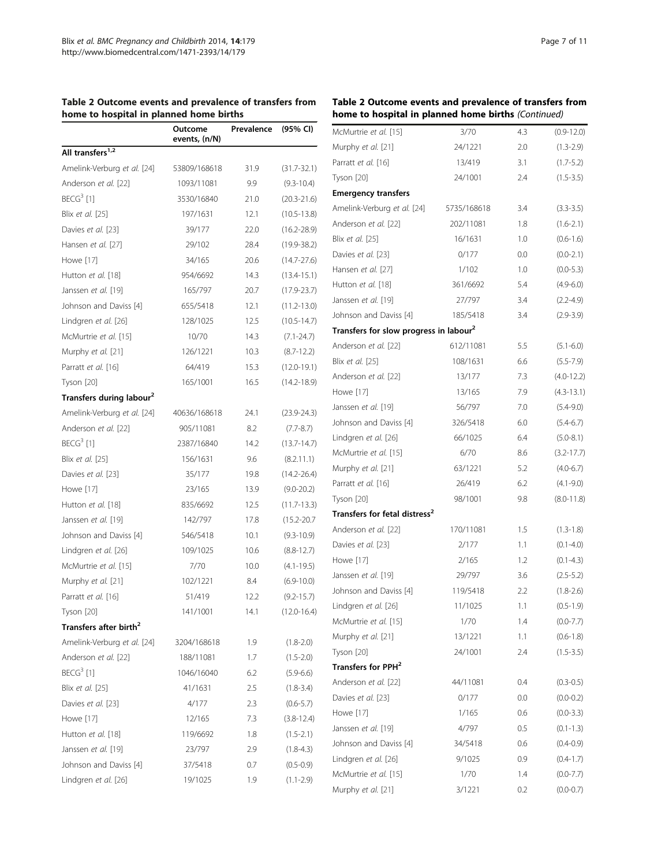<span id="page-6-0"></span>

|  | Table 2 Outcome events and prevalence of transfers from |  |
|--|---------------------------------------------------------|--|
|  | home to hospital in planned home births                 |  |

|                                      | Outcome<br>events, (n/N) | Prevalence | (95% CI)        |
|--------------------------------------|--------------------------|------------|-----------------|
| All transfers <sup>1,2</sup>         |                          |            |                 |
| Amelink-Verburg et al. [24]          | 53809/168618             | 31.9       | $(31.7 - 32.1)$ |
| Anderson et al. [22]                 | 1093/11081               | 9.9        | $(9.3 - 10.4)$  |
| $BECG3$ [1]                          | 3530/16840               | 21.0       | $(20.3 - 21.6)$ |
| Blix et al. [25]                     | 197/1631                 | 12.1       | $(10.5 - 13.8)$ |
| Davies et al. [23]                   | 39/177                   | 22.0       | $(16.2 - 28.9)$ |
| Hansen et al. [27]                   | 29/102                   | 28.4       | $(19.9 - 38.2)$ |
| Howe [17]                            | 34/165                   | 20.6       | $(14.7 - 27.6)$ |
| Hutton et al. [18]                   | 954/6692                 | 14.3       | $(13.4 - 15.1)$ |
| Janssen et al. [19]                  | 165/797                  | 20.7       | $(17.9 - 23.7)$ |
| Johnson and Daviss [4]               | 655/5418                 | 12.1       | $(11.2 - 13.0)$ |
| Lindgren et al. [26]                 | 128/1025                 | 12.5       | $(10.5 - 14.7)$ |
| McMurtrie et al. [15]                | 10/70                    | 14.3       | $(7.1 - 24.7)$  |
| Murphy et al. [21]                   | 126/1221                 | 10.3       | $(8.7 - 12.2)$  |
| Parratt et al. [16]                  | 64/419                   | 15.3       | $(12.0 - 19.1)$ |
| Tyson [20]                           | 165/1001                 | 16.5       | $(14.2 - 18.9)$ |
| Transfers during labour <sup>2</sup> |                          |            |                 |
| Amelink-Verburg et al. [24]          | 40636/168618             | 24.1       | $(23.9 - 24.3)$ |
| Anderson et al. [22]                 | 905/11081                | 8.2        | $(7.7 - 8.7)$   |
| BECG <sup>3</sup> [1]                | 2387/16840               | 14.2       | $(13.7 - 14.7)$ |
| Blix et al. [25]                     | 156/1631                 | 9.6        | (8.2.11.1)      |
| Davies et al. [23]                   | 35/177                   | 19.8       | $(14.2 - 26.4)$ |
| Howe [17]                            | 23/165                   | 13.9       | $(9.0 - 20.2)$  |
| Hutton et al. [18]                   | 835/6692                 | 12.5       | $(11.7 - 13.3)$ |
| Janssen et al. [19]                  | 142/797                  | 17.8       | $(15.2 - 20.7)$ |
| Johnson and Daviss [4]               | 546/5418                 | 10.1       | $(9.3 - 10.9)$  |
| Lindgren et al. [26]                 | 109/1025                 | 10.6       | $(8.8 - 12.7)$  |
| McMurtrie et al. [15]                | 7/70                     | 10.0       | $(4.1 - 19.5)$  |
| Murphy et al. [21]                   | 102/1221                 | 8.4        | $(6.9 - 10.0)$  |
| Parratt et al. [16]                  | 51/419                   | 12.2       | $(9.2 - 15.7)$  |
| Tyson [20]                           | 141/1001                 | 14.1       | $(12.0 - 16.4)$ |
| Transfers after birth <sup>2</sup>   |                          |            |                 |
| Amelink-Verburg et al. [24]          | 3204/168618              | 1.9        | $(1.8 - 2.0)$   |
| Anderson et al. [22]                 | 188/11081                | 1.7        | $(1.5 - 2.0)$   |
| $BECG3$ [1]                          | 1046/16040               | 6.2        | $(5.9 - 6.6)$   |
| Blix et al. [25]                     | 41/1631                  | 2.5        | $(1.8 - 3.4)$   |
| Davies et al. [23]                   | 4/177                    | 2.3        | $(0.6 - 5.7)$   |
| Howe [17]                            | 12/165                   | 7.3        | $(3.8 - 12.4)$  |
| Hutton et al. [18]                   | 119/6692                 | 1.8        | $(1.5 - 2.1)$   |
| Janssen et al. [19]                  | 23/797                   | 2.9        | $(1.8 - 4.3)$   |
| Johnson and Daviss [4]               | 37/5418                  | 0.7        | $(0.5 - 0.9)$   |
| Lindgren et al. [26]                 | 19/1025                  | 1.9        | $(1.1 - 2.9)$   |

# Table 2 Outcome events and prevalence of transfers from home to hospital in planned home births (Continued)

| McMurtrie et al. [15]                              | 3/70        | 4.3 | $(0.9 - 12.0)$ |
|----------------------------------------------------|-------------|-----|----------------|
| Murphy et al. [21]                                 | 24/1221     | 2.0 | $(1.3 - 2.9)$  |
| Parratt et al. [16]                                | 13/419      | 3.1 | $(1.7 - 5.2)$  |
| Tyson [20]                                         | 24/1001     | 2.4 | $(1.5 - 3.5)$  |
| <b>Emergency transfers</b>                         |             |     |                |
| Amelink-Verburg et al. [24]                        | 5735/168618 | 3.4 | $(3.3 - 3.5)$  |
| Anderson et al. [22]                               | 202/11081   | 1.8 | $(1.6 - 2.1)$  |
| Blix et al. [25]                                   | 16/1631     | 1.0 | $(0.6-1.6)$    |
| Davies et al. [23]                                 | 0/177       | 0.0 | $(0.0 - 2.1)$  |
| Hansen et al. [27]                                 | 1/102       | 1.0 | $(0.0 - 5.3)$  |
| Hutton et al. [18]                                 | 361/6692    | 5.4 | $(4.9 - 6.0)$  |
| Janssen et al. [19]                                | 27/797      | 3.4 | $(2.2 - 4.9)$  |
| Johnson and Daviss [4]                             | 185/5418    | 3.4 | $(2.9 - 3.9)$  |
| Transfers for slow progress in labour <sup>2</sup> |             |     |                |
| Anderson et al. [22]                               | 612/11081   | 5.5 | $(5.1 - 6.0)$  |
| Blix et al. [25]                                   | 108/1631    | 6.6 | $(5.5 - 7.9)$  |
| Anderson et al. [22]                               | 13/177      | 7.3 | $(4.0 - 12.2)$ |
| Howe [17]                                          | 13/165      | 7.9 | $(4.3 - 13.1)$ |
| Janssen et al. [19]                                | 56/797      | 7.0 | $(5.4 - 9.0)$  |
| Johnson and Daviss [4]                             | 326/5418    | 6.0 | $(5.4 - 6.7)$  |
| Lindgren et al. [26]                               | 66/1025     | 6.4 | $(5.0 - 8.1)$  |
| McMurtrie et al. [15]                              | 6/70        | 8.6 | $(3.2 - 17.7)$ |
| Murphy et al. [21]                                 | 63/1221     | 5.2 | $(4.0 - 6.7)$  |
| Parratt et al. [16]                                | 26/419      | 6.2 | $(4.1 - 9.0)$  |
| Tyson [20]                                         | 98/1001     | 9.8 | $(8.0 - 11.8)$ |
| Transfers for fetal distress <sup>2</sup>          |             |     |                |
| Anderson et al. [22]                               | 170/11081   | 1.5 | $(1.3 - 1.8)$  |
| Davies et al. [23]                                 | 2/177       | 1.1 | $(0.1 - 4.0)$  |
| Howe [17]                                          | 2/165       | 1.2 | $(0.1 - 4.3)$  |
| Janssen et al. [19]                                | 29/797      | 3.6 | $(2.5 - 5.2)$  |
| Johnson and Daviss [4]                             | 119/5418    | 2.2 | $(1.8 - 2.6)$  |
| Lindgren et al. [26]                               | 11/1025     | 1.1 | $(0.5 - 1.9)$  |
| McMurtrie et al. [15]                              | 1/70        | 1.4 | $(0.0 - 7.7)$  |
| Murphy et al. [21]                                 | 13/1221     | 1.1 | $(0.6 - 1.8)$  |
| Tyson [20]                                         | 24/1001     | 2.4 | $(1.5 - 3.5)$  |
| Transfers for PPH <sup>2</sup>                     |             |     |                |
| Anderson et al. [22]                               | 44/11081    | 0.4 | $(0.3 - 0.5)$  |
| Davies et al. [23]                                 | 0/177       | 0.0 | $(0.0 - 0.2)$  |
| Howe [17]                                          | 1/165       | 0.6 | $(0.0 - 3.3)$  |
| Janssen et al. [19]                                | 4/797       | 0.5 | $(0.1 - 1.3)$  |
| Johnson and Daviss [4]                             | 34/5418     | 0.6 | $(0.4 - 0.9)$  |
| Lindgren et al. [26]                               | 9/1025      | 0.9 | $(0.4 - 1.7)$  |
| McMurtrie et al. [15]                              | 1/70        | 1.4 | $(0.0 - 7.7)$  |
| Murphy et al. [21]                                 | 3/1221      | 0.2 | $(0.0 - 0.7)$  |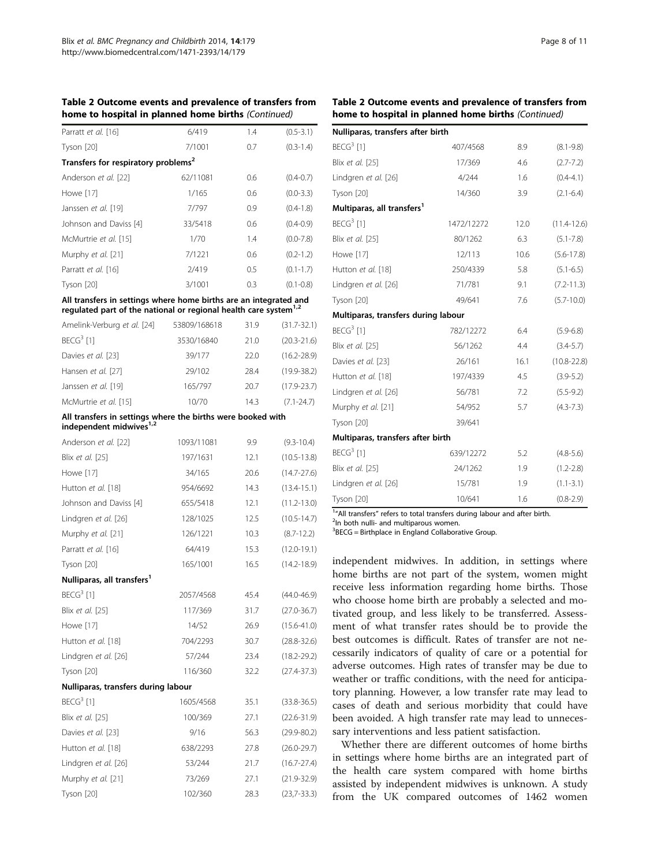| Table 2 Outcome events and prevalence of transfers from |  |
|---------------------------------------------------------|--|
| home to hospital in planned home births (Continued)     |  |

| Parratt et al. [16]                             | 6/419    | 1.4 | $(0.5 - 3.1)$ |
|-------------------------------------------------|----------|-----|---------------|
| Tyson [20]                                      | 7/1001   | 0.7 | $(0.3 - 1.4)$ |
| Transfers for respiratory problems <sup>2</sup> |          |     |               |
| Anderson et al. [22]                            | 62/11081 | 0.6 | $(0.4 - 0.7)$ |
| Howe [17]                                       | 1/165    | 0.6 | $(0.0 - 3.3)$ |
| Janssen et al. [19]                             | 7/797    | 0.9 | $(0.4-1.8)$   |
| Johnson and Daviss [4]                          | 33/5418  | 0.6 | $(0.4 - 0.9)$ |
| McMurtrie et al. [15]                           | 1/70     | 1.4 | $(0.0 - 7.8)$ |
| Murphy et al. [21]                              | 7/1221   | 0.6 | $(0.2 - 1.2)$ |
| Parratt et al. [16]                             | 2/419    | 0.5 | $(0.1 - 1.7)$ |
| Tyson [20]                                      | 3/1001   | 0.3 | $(0.1 - 0.8)$ |

#### All transfers in settings where home births are an integrated and regulated part of the national or regional health care system<sup>1,2</sup>

| Amelink-Verburg et al. [24] | 53809/168618 | 31.9 | $(31.7 - 32.1)$ |
|-----------------------------|--------------|------|-----------------|
| BECG <sup>3</sup> [1]       | 3530/16840   | 21.0 | $(20.3 - 21.6)$ |
| Davies et al. [23]          | 39/177       | 22.0 | $(16.2 - 28.9)$ |
| Hansen et al. [27]          | 29/102       | 28.4 | $(19.9 - 38.2)$ |
| Janssen et al. [19]         | 165/797      | 20.7 | $(17.9 - 23.7)$ |
| McMurtrie et al. [15]       | 10/70        | 14.3 | $(7.1 - 24.7)$  |

# All transfers in settings where the births were booked with<br>independent midwives<sup>1,2</sup>

| Anderson et al. [22]                   | 1093/11081 | 9.9  | $(9.3 - 10.4)$  |
|----------------------------------------|------------|------|-----------------|
| Blix et al. [25]                       | 197/1631   | 12.1 | $(10.5 - 13.8)$ |
| Howe [17]                              | 34/165     | 20.6 | $(14.7 - 27.6)$ |
| Hutton et al. [18]                     | 954/6692   | 14.3 | $(13.4 - 15.1)$ |
| Johnson and Daviss [4]                 | 655/5418   | 12.1 | $(11.2 - 13.0)$ |
| Lindgren et al. [26]                   | 128/1025   | 12.5 | $(10.5 - 14.7)$ |
| Murphy et al. [21]                     | 126/1221   | 10.3 | $(8.7 - 12.2)$  |
| Parratt et al. [16]                    | 64/419     | 15.3 | $(12.0 - 19.1)$ |
| Tyson [20]                             | 165/1001   | 16.5 | $(14.2 - 18.9)$ |
| Nulliparas, all transfers <sup>1</sup> |            |      |                 |
| $BECG3$ [1]                            | 2057/4568  | 45.4 | $(44.0 - 46.9)$ |
| Blix et al. [25]                       | 117/369    | 31.7 | $(27.0 - 36.7)$ |
| Howe [17]                              | 14/52      | 26.9 | $(15.6 - 41.0)$ |
| Hutton et al. [18]                     | 704/2293   | 30.7 | $(28.8 - 32.6)$ |
| Lindgren et al. [26]                   | 57/244     | 23.4 | $(18.2 - 29.2)$ |
| Tyson [20]                             | 116/360    | 32.2 | $(27.4 - 37.3)$ |
| Nulliparas, transfers during labour    |            |      |                 |
| $BECG3$ [1]                            | 1605/4568  | 35.1 | $(33.8 - 36.5)$ |
| Blix et al. [25]                       | 100/369    | 27.1 | $(22.6 - 31.9)$ |
| Davies et al. [23]                     | 9/16       | 56.3 | $(29.9 - 80.2)$ |
| Hutton et al. [18]                     | 638/2293   | 27.8 | $(26.0 - 29.7)$ |
| Lindgren et al. [26]                   | 53/244     | 21.7 | $(16.7 - 27.4)$ |
| Murphy et al. [21]                     | 73/269     | 27.1 | $(21.9 - 32.9)$ |
| Tyson [20]                             | 102/360    | 28.3 | $(23,7-33.3)$   |
|                                        |            |      |                 |

#### Table 2 Outcome events and prevalence of transfers from home to hospital in planned home births (Continued)

| Nulliparas, transfers after birth      |            |      |                 |
|----------------------------------------|------------|------|-----------------|
| $BECG3$ [1]                            | 407/4568   | 8.9  | $(8.1 - 9.8)$   |
| Blix et al. [25]                       | 17/369     | 4.6  | $(2.7 - 7.2)$   |
| Lindgren et al. [26]                   | 4/244      | 1.6  | $(0.4 - 4.1)$   |
| Tyson [20]                             | 14/360     | 3.9  | $(2.1 - 6.4)$   |
| Multiparas, all transfers <sup>1</sup> |            |      |                 |
| $BECG3$ [1]                            | 1472/12272 | 12.0 | $(11.4 - 12.6)$ |
| Blix et al. [25]                       | 80/1262    | 6.3  | $(5.1 - 7.8)$   |
| Howe [17]                              | 12/113     | 10.6 | $(5.6 - 17.8)$  |
| Hutton et al. [18]                     | 250/4339   | 5.8  | $(5.1 - 6.5)$   |
| Lindgren et al. [26]                   | 71/781     | 9.1  | $(7.2 - 11.3)$  |
| Tyson [20]                             | 49/641     | 7.6  | $(5.7 - 10.0)$  |
| Multiparas, transfers during labour    |            |      |                 |
| $BECG3$ [1]                            | 782/12272  | 6.4  | $(5.9 - 6.8)$   |
| Blix et al. [25]                       | 56/1262    | 4.4  | $(3.4 - 5.7)$   |
| Davies et al. [23]                     | 26/161     | 16.1 | $(10.8 - 22.8)$ |
| Hutton et al. [18]                     | 197/4339   | 4.5  | $(3.9 - 5.2)$   |
| Lindgren et al. [26]                   | 56/781     | 7.2  | $(5.5-9.2)$     |
| Murphy et al. [21]                     | 54/952     | 5.7  | $(4.3 - 7.3)$   |
| Tyson [20]                             | 39/641     |      |                 |
| Multiparas, transfers after birth      |            |      |                 |
| $BECG3$ [1]                            | 639/12272  | 5.2  | $(4.8 - 5.6)$   |
| Blix et al. [25]                       | 24/1262    | 1.9  | $(1.2 - 2.8)$   |
| Lindgren et al. [26]                   | 15/781     | 1.9  | $(1.1 - 3.1)$   |
| Tyson [20]                             | 10/641     | 1.6  | $(0.8 - 2.9)$   |

 $1''$ All transfers" refers to total transfers during labour and after birth.<br><sup>2</sup>In both pulli- and multiparous women.

<sup>2</sup>In both nulli- and multiparous women.

<sup>3</sup>BECG = Birthplace in England Collaborative Group.

independent midwives. In addition, in settings where home births are not part of the system, women might receive less information regarding home births. Those who choose home birth are probably a selected and motivated group, and less likely to be transferred. Assessment of what transfer rates should be to provide the best outcomes is difficult. Rates of transfer are not necessarily indicators of quality of care or a potential for adverse outcomes. High rates of transfer may be due to weather or traffic conditions, with the need for anticipatory planning. However, a low transfer rate may lead to cases of death and serious morbidity that could have been avoided. A high transfer rate may lead to unnecessary interventions and less patient satisfaction.

Whether there are different outcomes of home births in settings where home births are an integrated part of the health care system compared with home births assisted by independent midwives is unknown. A study from the UK compared outcomes of 1462 women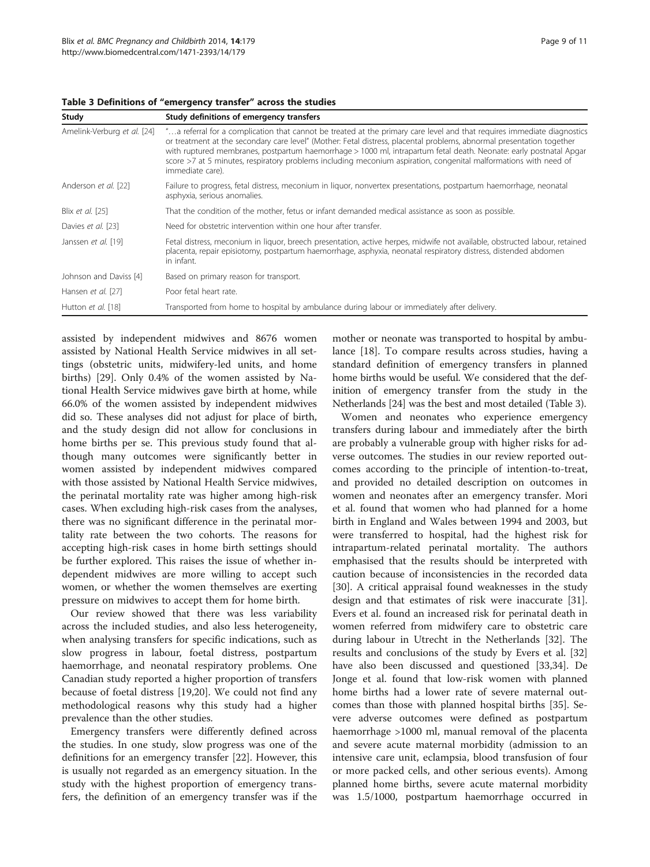| Study                       | Study definitions of emergency transfers                                                                                                                                                                                                                                                                                                                                                                                                                                                                       |
|-----------------------------|----------------------------------------------------------------------------------------------------------------------------------------------------------------------------------------------------------------------------------------------------------------------------------------------------------------------------------------------------------------------------------------------------------------------------------------------------------------------------------------------------------------|
| Amelink-Verburg et al. [24] | "a referral for a complication that cannot be treated at the primary care level and that requires immediate diagnostics<br>or treatment at the secondary care level" (Mother: Fetal distress, placental problems, abnormal presentation together<br>with ruptured membranes, postpartum haemorrhage > 1000 ml, intrapartum fetal death. Neonate: early postnatal Apgar<br>score >7 at 5 minutes, respiratory problems including meconium aspiration, congenital malformations with need of<br>immediate care). |
| Anderson et al. [22]        | Failure to progress, fetal distress, meconium in liguor, nonvertex presentations, postpartum haemorrhage, neonatal<br>asphyxia, serious anomalies.                                                                                                                                                                                                                                                                                                                                                             |
| Blix et al. [25]            | That the condition of the mother, fetus or infant demanded medical assistance as soon as possible.                                                                                                                                                                                                                                                                                                                                                                                                             |
| Davies et al. [23]          | Need for obstetric intervention within one hour after transfer.                                                                                                                                                                                                                                                                                                                                                                                                                                                |
| Janssen et al. [19]         | Fetal distress, meconium in liquor, breech presentation, active herpes, midwife not available, obstructed labour, retained<br>placenta, repair episiotomy, postpartum haemorrhage, asphyxia, neonatal respiratory distress, distended abdomen<br>in infant.                                                                                                                                                                                                                                                    |
| Johnson and Daviss [4]      | Based on primary reason for transport.                                                                                                                                                                                                                                                                                                                                                                                                                                                                         |
| Hansen et al. [27]          | Poor fetal heart rate.                                                                                                                                                                                                                                                                                                                                                                                                                                                                                         |
| Hutton et al. [18]          | Transported from home to hospital by ambulance during labour or immediately after delivery.                                                                                                                                                                                                                                                                                                                                                                                                                    |

<span id="page-8-0"></span>Table 3 Definitions of "emergency transfer" across the studies

assisted by independent midwives and 8676 women assisted by National Health Service midwives in all settings (obstetric units, midwifery-led units, and home births) [\[29](#page-10-0)]. Only 0.4% of the women assisted by National Health Service midwives gave birth at home, while 66.0% of the women assisted by independent midwives did so. These analyses did not adjust for place of birth, and the study design did not allow for conclusions in home births per se. This previous study found that although many outcomes were significantly better in women assisted by independent midwives compared with those assisted by National Health Service midwives, the perinatal mortality rate was higher among high-risk cases. When excluding high-risk cases from the analyses, there was no significant difference in the perinatal mortality rate between the two cohorts. The reasons for accepting high-risk cases in home birth settings should be further explored. This raises the issue of whether independent midwives are more willing to accept such women, or whether the women themselves are exerting pressure on midwives to accept them for home birth.

Our review showed that there was less variability across the included studies, and also less heterogeneity, when analysing transfers for specific indications, such as slow progress in labour, foetal distress, postpartum haemorrhage, and neonatal respiratory problems. One Canadian study reported a higher proportion of transfers because of foetal distress [[19,20\]](#page-9-0). We could not find any methodological reasons why this study had a higher prevalence than the other studies.

Emergency transfers were differently defined across the studies. In one study, slow progress was one of the definitions for an emergency transfer [\[22\]](#page-9-0). However, this is usually not regarded as an emergency situation. In the study with the highest proportion of emergency transfers, the definition of an emergency transfer was if the

mother or neonate was transported to hospital by ambulance [\[18](#page-9-0)]. To compare results across studies, having a standard definition of emergency transfers in planned home births would be useful. We considered that the definition of emergency transfer from the study in the Netherlands [\[24\]](#page-9-0) was the best and most detailed (Table 3).

Women and neonates who experience emergency transfers during labour and immediately after the birth are probably a vulnerable group with higher risks for adverse outcomes. The studies in our review reported outcomes according to the principle of intention-to-treat, and provided no detailed description on outcomes in women and neonates after an emergency transfer. Mori et al. found that women who had planned for a home birth in England and Wales between 1994 and 2003, but were transferred to hospital, had the highest risk for intrapartum-related perinatal mortality. The authors emphasised that the results should be interpreted with caution because of inconsistencies in the recorded data [[30\]](#page-10-0). A critical appraisal found weaknesses in the study design and that estimates of risk were inaccurate [\[31](#page-10-0)]. Evers et al. found an increased risk for perinatal death in women referred from midwifery care to obstetric care during labour in Utrecht in the Netherlands [[32\]](#page-10-0). The results and conclusions of the study by Evers et al. [[32](#page-10-0)] have also been discussed and questioned [\[33,34\]](#page-10-0). De Jonge et al. found that low-risk women with planned home births had a lower rate of severe maternal outcomes than those with planned hospital births [[35](#page-10-0)]. Severe adverse outcomes were defined as postpartum haemorrhage >1000 ml, manual removal of the placenta and severe acute maternal morbidity (admission to an intensive care unit, eclampsia, blood transfusion of four or more packed cells, and other serious events). Among planned home births, severe acute maternal morbidity was 1.5/1000, postpartum haemorrhage occurred in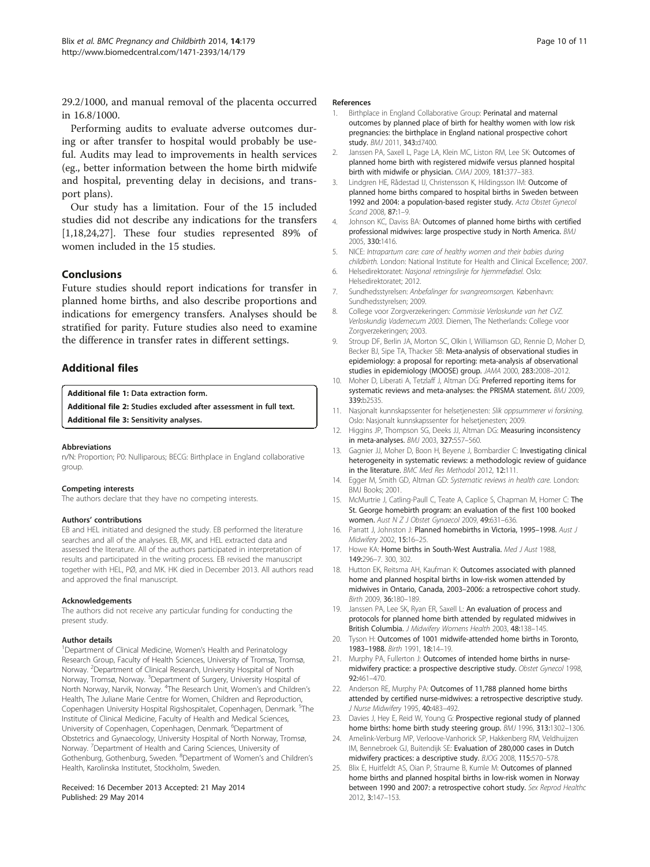<span id="page-9-0"></span>29.2/1000, and manual removal of the placenta occurred in 16.8/1000.

Performing audits to evaluate adverse outcomes during or after transfer to hospital would probably be useful. Audits may lead to improvements in health services (eg., better information between the home birth midwife and hospital, preventing delay in decisions, and transport plans).

Our study has a limitation. Four of the 15 included studies did not describe any indications for the transfers [1,18,24,[27\]](#page-10-0). These four studies represented 89% of women included in the 15 studies.

#### Conclusions

Future studies should report indications for transfer in planned home births, and also describe proportions and indications for emergency transfers. Analyses should be stratified for parity. Future studies also need to examine the difference in transfer rates in different settings.

# Additional files

[Additional file 1:](http://www.biomedcentral.com/content/supplementary/1471-2393-14-179-S1.docx) Data extraction form.

[Additional file 2:](http://www.biomedcentral.com/content/supplementary/1471-2393-14-179-S2.docx) Studies excluded after assessment in full text. [Additional file 3:](http://www.biomedcentral.com/content/supplementary/1471-2393-14-179-S3.docx) Sensitivity analyses.

#### Abbreviations

n/N: Proportion; P0: Nulliparous; BECG: Birthplace in England collaborative group.

#### Competing interests

The authors declare that they have no competing interests.

#### Authors' contributions

EB and HEL initiated and designed the study. EB performed the literature searches and all of the analyses. EB, MK, and HEL extracted data and assessed the literature. All of the authors participated in interpretation of results and participated in the writing process. EB revised the manuscript together with HEL, PØ, and MK. HK died in December 2013. All authors read and approved the final manuscript.

#### Acknowledgements

The authors did not receive any particular funding for conducting the present study.

#### Author details

<sup>1</sup>Department of Clinical Medicine, Women's Health and Perinatology Research Group, Faculty of Health Sciences, University of Tromsø, Tromsø, Norway. <sup>2</sup>Department of Clinical Research, University Hospital of North Norway, Tromsø, Norway. <sup>3</sup>Department of Surgery, University Hospital of North Norway, Narvik, Norway. <sup>4</sup>The Research Unit, Women's and Children's Health, The Juliane Marie Centre for Women, Children and Reproduction, Copenhagen University Hospital Rigshospitalet, Copenhagen, Denmark. <sup>5</sup>The Institute of Clinical Medicine, Faculty of Health and Medical Sciences, University of Copenhagen, Copenhagen, Denmark. <sup>6</sup>Department of Obstetrics and Gynaecology, University Hospital of North Norway, Tromsø, Norway. <sup>7</sup>Department of Health and Caring Sciences, University of Gothenburg, Gothenburg, Sweden. <sup>8</sup>Department of Women's and Children's Health, Karolinska Institutet, Stockholm, Sweden.

#### Received: 16 December 2013 Accepted: 21 May 2014 Published: 29 May 2014

#### References

- Birthplace in England Collaborative Group: Perinatal and maternal outcomes by planned place of birth for healthy women with low risk pregnancies: the birthplace in England national prospective cohort study. BMJ 2011, 343:d7400.
- 2. Janssen PA, Saxell L, Page LA, Klein MC, Liston RM, Lee SK: Outcomes of planned home birth with registered midwife versus planned hospital birth with midwife or physician. CMAJ 2009, 181:377–383.
- 3. Lindgren HE, Rådestad IJ, Christensson K, Hildingsson IM: Outcome of planned home births compared to hospital births in Sweden between 1992 and 2004: a population-based register study. Acta Obstet Gynecol Scand 2008, 87:1–9.
- 4. Johnson KC, Daviss BA: Outcomes of planned home births with certified professional midwives: large prospective study in North America. BMJ 2005, 330:1416.
- 5. NICE: Intrapartum care: care of healthy women and their babies during childbirth. London: National Institute for Health and Clinical Excellence; 2007.
- 6. Helsedirektoratet: Nasjonal retningslinje for hjemmefødsel. Oslo: Helsedirektoratet; 2012.
- 7. Sundhedsstyrelsen: Anbefalinger for svangreomsorgen. København: Sundhedsstyrelsen; 2009.
- 8. College voor Zorgverzekeringen: Commissie Verloskunde van het CVZ. Verloskundig Vademecum 2003. Diemen, The Netherlands: College voor Zorgverzekeringen; 2003.
- Stroup DF, Berlin JA, Morton SC, Olkin I, Williamson GD, Rennie D, Moher D, Becker BJ, Sipe TA, Thacker SB: Meta-analysis of observational studies in epidemiology: a proposal for reporting: meta-analysis af observational studies in epidemiology (MOOSE) group. JAMA 2000, 283:2008–2012.
- 10. Moher D, Liberati A, Tetzlaff J, Altman DG: Preferred reporting items for systematic reviews and meta-analyses: the PRISMA statement. BMJ 2009, 339:b2535.
- 11. Nasjonalt kunnskapssenter for helsetjenesten: Slik oppsummerer vi forskning. Oslo: Nasjonalt kunnskapssenter for helsetjenesten; 2009.
- 12. Higgins JP, Thompson SG, Deeks JJ, Altman DG: Measuring inconsistency in meta-analyses. BMJ 2003, 327:557–560.
- 13. Gagnier JJ, Moher D, Boon H, Beyene J, Bombardier C: Investigating clinical heterogeneity in systematic reviews: a methodologic review of guidance in the literature. BMC Med Res Methodol 2012, 12:111.
- 14. Egger M, Smith GD, Altman GD: Systematic reviews in health care. London: BMJ Books; 2001.
- 15. McMurtrie J, Catling-Paull C, Teate A, Caplice S, Chapman M, Homer C: The St. George homebirth program: an evaluation of the first 100 booked women. Aust N Z J Obstet Gynaecol 2009, 49:631–636.
- 16. Parratt J, Johnston J: Planned homebirths in Victoria, 1995-1998. Aust J Midwifery 2002, 15:16–25.
- 17. Howe KA: Home births in South-West Australia. Med J Aust 1988. 149:296–7. 300, 302.
- 18. Hutton EK, Reitsma AH, Kaufman K: Outcomes associated with planned home and planned hospital births in low-risk women attended by midwives in Ontario, Canada, 2003–2006: a retrospective cohort study. Birth 2009, 36:180–189.
- 19. Janssen PA, Lee SK, Ryan ER, Saxell L: An evaluation of process and protocols for planned home birth attended by regulated midwives in British Columbia. J Midwifery Womens Health 2003, 48:138–145.
- 20. Tyson H: Outcomes of 1001 midwife-attended home births in Toronto, 1983–1988. Birth 1991, 18:14–19.
- 21. Murphy PA, Fullerton J: Outcomes of intended home births in nursemidwifery practice: a prospective descriptive study. Obstet Gynecol 1998, 92:461–470.
- 22. Anderson RE, Murphy PA: Outcomes of 11,788 planned home births attended by certified nurse-midwives: a retrospective descriptive study. J Nurse Midwifery 1995, 40:483–492.
- 23. Davies J, Hey E, Reid W, Young G: Prospective regional study of planned home births: home birth study steering group. BMJ 1996, 313:1302-1306.
- 24. Amelink-Verburg MP, Verloove-Vanhorick SP, Hakkenberg RM, Veldhuijzen IM, Bennebroek GJ, Buitendijk SE: Evaluation of 280,000 cases in Dutch midwifery practices: a descriptive study. BJOG 2008, 115:570–578.
- 25. Blix E, Huitfeldt AS, Oian P, Straume B, Kumle M: Outcomes of planned home births and planned hospital births in low-risk women in Norway between 1990 and 2007: a retrospective cohort study. Sex Reprod Healthc 2012, 3:147–153.